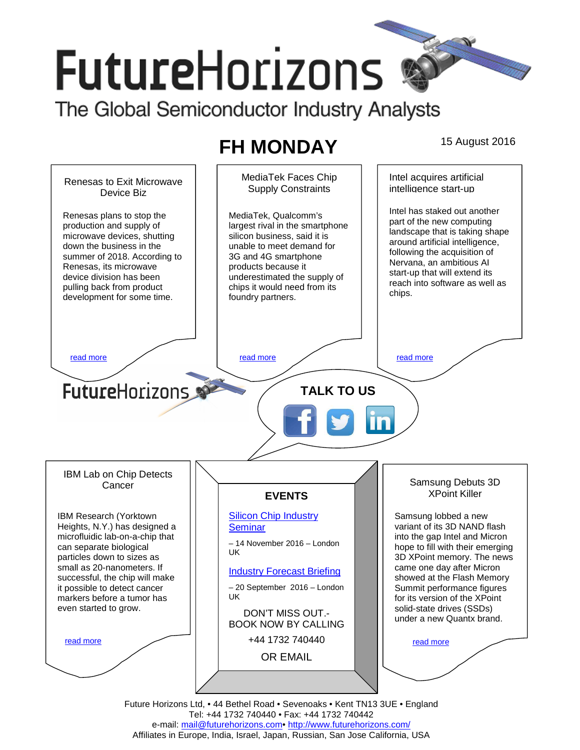# **FutureHorizons** The Global Semiconductor Industry Analysts

# **FH MONDAY** 15 August 2016



Tel: +44 1732 740440 • Fax: +44 1732 740442 e-mail: mail@futurehorizons.com• http://www.futurehorizons.com/ Affiliates in Europe, India, Israel, Japan, Russian, San Jose California, USA